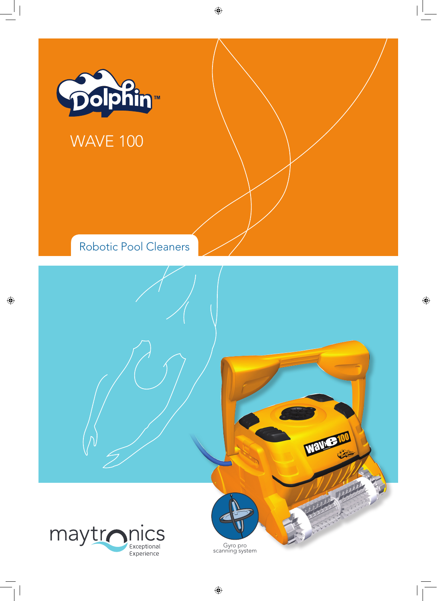